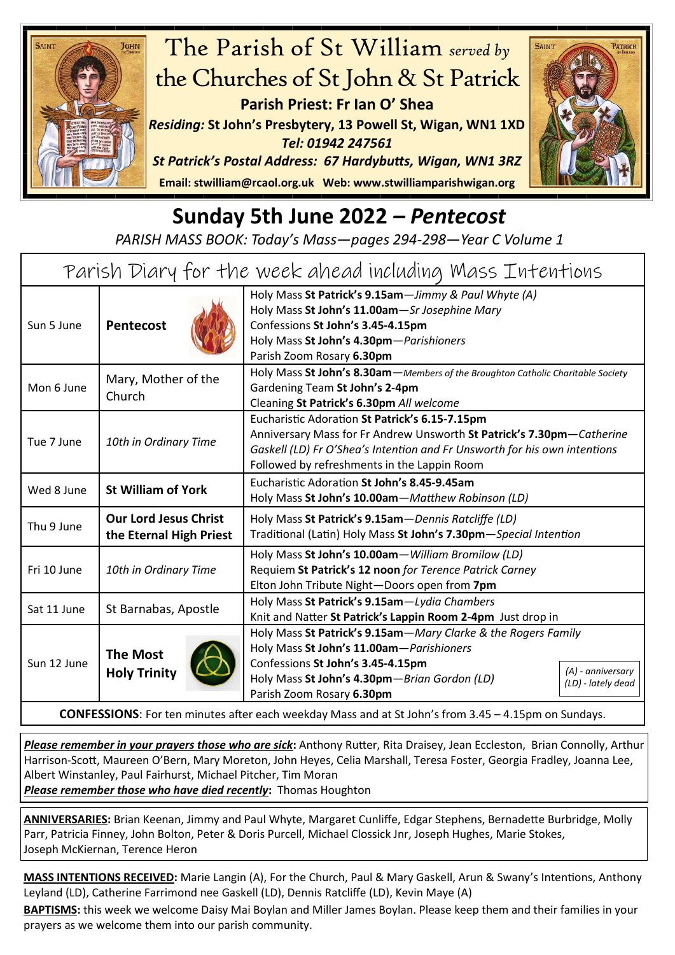

## **Sunday 5th June 2022** *– Pentecost*

*PARISH MASS BOOK: Today's Mass—pages 294-298—Year C Volume 1*

| Holy Mass St John's 11.00am-Sr Josephine Mary                                                                                               | Holy Mass St Patrick's 9.15am-Jimmy & Paul Whyte (A)                                                                                                                                                                                                |
|---------------------------------------------------------------------------------------------------------------------------------------------|-----------------------------------------------------------------------------------------------------------------------------------------------------------------------------------------------------------------------------------------------------|
| <b>Pentecost</b><br>Sun 5 June<br>Confessions St John's 3.45-4.15pm<br>Holy Mass St John's 4.30pm-Parishioners<br>Parish Zoom Rosary 6.30pm |                                                                                                                                                                                                                                                     |
| Mary, Mother of the<br>Mon 6 June<br>Gardening Team St John's 2-4pm<br>Church<br>Cleaning St Patrick's 6.30pm All welcome                   | Holy Mass St John's 8.30am-Members of the Broughton Catholic Charitable Society                                                                                                                                                                     |
| Tue 7 June<br>10th in Ordinary Time                                                                                                         | Eucharistic Adoration St Patrick's 6.15-7.15pm<br>Anniversary Mass for Fr Andrew Unsworth St Patrick's 7.30pm-Catherine<br>Gaskell (LD) Fr O'Shea's Intention and Fr Unsworth for his own intentions<br>Followed by refreshments in the Lappin Room |
| <b>St William of York</b><br>Wed 8 June                                                                                                     | Eucharistic Adoration St John's 8.45-9.45am<br>Holy Mass St John's 10.00am-Matthew Robinson (LD)                                                                                                                                                    |
| <b>Our Lord Jesus Christ</b><br>Thu 9 June<br>the Eternal High Priest                                                                       | Holy Mass St Patrick's 9.15am - Dennis Ratcliffe (LD)<br>Traditional (Latin) Holy Mass St John's 7.30pm-Special Intention                                                                                                                           |
| Fri 10 June<br>10th in Ordinary Time                                                                                                        | Holy Mass St John's 10.00am-William Bromilow (LD)<br>Requiem St Patrick's 12 noon for Terence Patrick Carney<br>Elton John Tribute Night-Doors open from 7pm                                                                                        |
| Sat 11 June<br>St Barnabas, Apostle                                                                                                         | Holy Mass St Patrick's 9.15am-Lydia Chambers<br>Knit and Natter St Patrick's Lappin Room 2-4pm Just drop in                                                                                                                                         |
| <b>The Most</b><br>Sun 12 June<br>Confessions St John's 3.45-4.15pm<br><b>Holy Trinity</b><br>Parish Zoom Rosary 6.30pm                     | Holy Mass St Patrick's 9.15am - Mary Clarke & the Rogers Family<br>Holy Mass St John's 11.00am-Parishioners<br>(A) - anniversary<br>Holy Mass St John's 4.30pm-Brian Gordon (LD)<br>(LD) - lately dead                                              |

**CONFESSIONS**: For ten minutes after each weekday Mass and at St John's from 3.45 – 4.15pm on Sundays.

*Please remember in your prayers those who are sick***:** Anthony Rutter, Rita Draisey, Jean Eccleston, Brian Connolly, Arthur Harrison-Scott, Maureen O'Bern, Mary Moreton, John Heyes, Celia Marshall, Teresa Foster, Georgia Fradley, Joanna Lee, Albert Winstanley, Paul Fairhurst, Michael Pitcher, Tim Moran

*Please remember those who have died recently***:** Thomas Houghton

**ANNIVERSARIES:** Brian Keenan, Jimmy and Paul Whyte, Margaret Cunliffe, Edgar Stephens, Bernadette Burbridge, Molly Parr, Patricia Finney, John Bolton, Peter & Doris Purcell, Michael Clossick Jnr, Joseph Hughes, Marie Stokes, Joseph McKiernan, Terence Heron

**MASS INTENTIONS RECEIVED:** Marie Langin (A), For the Church, Paul & Mary Gaskell, Arun & Swany's Intentions, Anthony Leyland (LD), Catherine Farrimond nee Gaskell (LD), Dennis Ratcliffe (LD), Kevin Maye (A)

**BAPTISMS:** this week we welcome Daisy Mai Boylan and Miller James Boylan. Please keep them and their families in your prayers as we welcome them into our parish community.